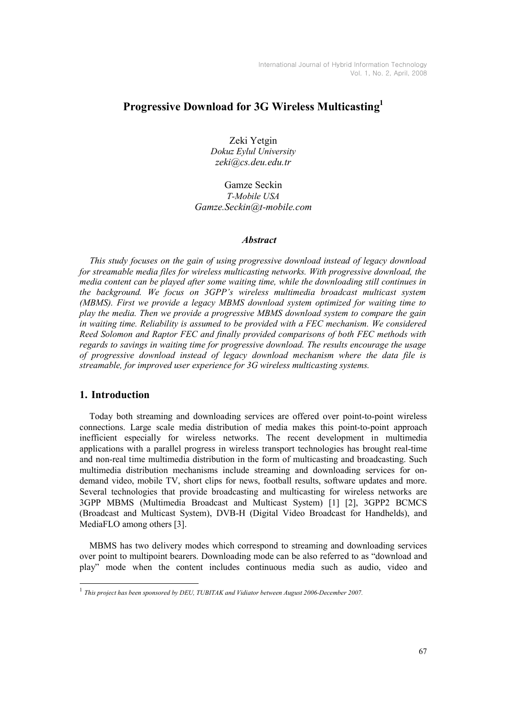## Progressive Download for 3G Wireless Multicasting<sup>1</sup>

Zeki Yetgin Dokuz Eylul University zeki@cs.deu.edu.tr

Gamze Seckin T-Mobile USA Gamze.Seckin@t-mobile.com

## **Abstract**

This study focuses on the gain of using progressive download instead of legacy download for streamable media files for wireless multicasting networks. With progressive download, the media content can be played after some waiting time, while the downloading still continues in the background. We focus on 3GPP's wireless multimedia broadcast multicast system (MBMS). First we provide a legacy MBMS download system optimized for waiting time to play the media. Then we provide a progressive MBMS download system to compare the gain in waiting time. Reliability is assumed to be provided with a FEC mechanism. We considered Reed Solomon and Raptor FEC and finally provided comparisons of both FEC methods with regards to savings in waiting time for progressive download. The results encourage the usage of progressive download instead of legacy download mechanism where the data file is streamable, for improved user experience for 3G wireless multicasting systems.

### 1. Introduction

 $\overline{a}$ 

Today both streaming and downloading services are offered over point-to-point wireless connections. Large scale media distribution of media makes this point-to-point approach inefficient especially for wireless networks. The recent development in multimedia applications with a parallel progress in wireless transport technologies has brought real-time and non-real time multimedia distribution in the form of multicasting and broadcasting. Such multimedia distribution mechanisms include streaming and downloading services for ondemand video, mobile TV, short clips for news, football results, software updates and more. Several technologies that provide broadcasting and multicasting for wireless networks are 3GPP MBMS (Multimedia Broadcast and Multicast System) [1] [2], 3GPP2 BCMCS (Broadcast and Multicast System), DVB-H (Digital Video Broadcast for Handhelds), and MediaFLO among others [3].

MBMS has two delivery modes which correspond to streaming and downloading services over point to multipoint bearers. Downloading mode can be also referred to as "download and play" mode when the content includes continuous media such as audio, video and

 $^{1}$  This project has been sponsored by DEU, TUBITAK and Vidiator between August 2006-December 2007.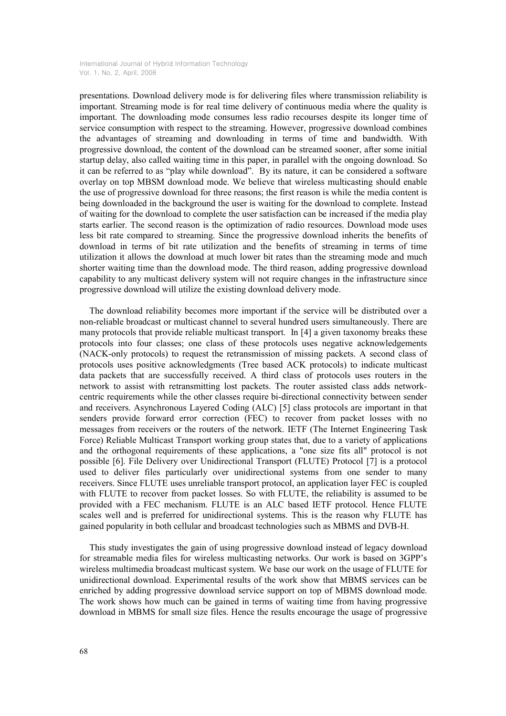presentations. Download delivery mode is for delivering files where transmission reliability is important. Streaming mode is for real time delivery of continuous media where the quality is important. The downloading mode consumes less radio recourses despite its longer time of service consumption with respect to the streaming. However, progressive download combines the advantages of streaming and downloading in terms of time and bandwidth. With progressive download, the content of the download can be streamed sooner, after some initial startup delay, also called waiting time in this paper, in parallel with the ongoing download. So it can be referred to as "play while download". By its nature, it can be considered a software overlay on top MBSM download mode. We believe that wireless multicasting should enable the use of progressive download for three reasons; the first reason is while the media content is being downloaded in the background the user is waiting for the download to complete. Instead of waiting for the download to complete the user satisfaction can be increased if the media play starts earlier. The second reason is the optimization of radio resources. Download mode uses less bit rate compared to streaming. Since the progressive download inherits the benefits of download in terms of bit rate utilization and the benefits of streaming in terms of time utilization it allows the download at much lower bit rates than the streaming mode and much shorter waiting time than the download mode. The third reason, adding progressive download capability to any multicast delivery system will not require changes in the infrastructure since progressive download will utilize the existing download delivery mode.

The download reliability becomes more important if the service will be distributed over a non-reliable broadcast or multicast channel to several hundred users simultaneously. There are many protocols that provide reliable multicast transport. In [4] a given taxonomy breaks these protocols into four classes; one class of these protocols uses negative acknowledgements (NACK-only protocols) to request the retransmission of missing packets. A second class of protocols uses positive acknowledgments (Tree based ACK protocols) to indicate multicast data packets that are successfully received. A third class of protocols uses routers in the network to assist with retransmitting lost packets. The router assisted class adds networkcentric requirements while the other classes require bi-directional connectivity between sender and receivers. Asynchronous Layered Coding (ALC) [5] class protocols are important in that senders provide forward error correction (FEC) to recover from packet losses with no messages from receivers or the routers of the network. IETF (The Internet Engineering Task Force) Reliable Multicast Transport working group states that, due to a variety of applications and the orthogonal requirements of these applications, a "one size fits all" protocol is not possible [6]. File Delivery over Unidirectional Transport (FLUTE) Protocol [7] is a protocol used to deliver files particularly over unidirectional systems from one sender to many receivers. Since FLUTE uses unreliable transport protocol, an application layer FEC is coupled with FLUTE to recover from packet losses. So with FLUTE, the reliability is assumed to be provided with a FEC mechanism. FLUTE is an ALC based IETF protocol. Hence FLUTE scales well and is preferred for unidirectional systems. This is the reason why FLUTE has gained popularity in both cellular and broadcast technologies such as MBMS and DVB-H.

This study investigates the gain of using progressive download instead of legacy download for streamable media files for wireless multicasting networks. Our work is based on 3GPP's wireless multimedia broadcast multicast system. We base our work on the usage of FLUTE for unidirectional download. Experimental results of the work show that MBMS services can be enriched by adding progressive download service support on top of MBMS download mode. The work shows how much can be gained in terms of waiting time from having progressive download in MBMS for small size files. Hence the results encourage the usage of progressive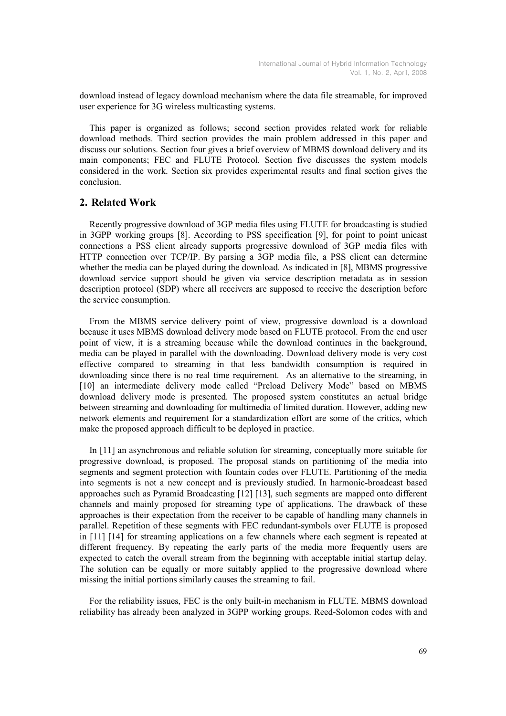download instead of legacy download mechanism where the data file streamable, for improved user experience for 3G wireless multicasting systems.

This paper is organized as follows; second section provides related work for reliable download methods. Third section provides the main problem addressed in this paper and discuss our solutions. Section four gives a brief overview of MBMS download delivery and its main components; FEC and FLUTE Protocol. Section five discusses the system models considered in the work. Section six provides experimental results and final section gives the conclusion.

## 2. Related Work

Recently progressive download of 3GP media files using FLUTE for broadcasting is studied in 3GPP working groups [8]. According to PSS specification [9], for point to point unicast connections a PSS client already supports progressive download of 3GP media files with HTTP connection over TCP/IP. By parsing a 3GP media file, a PSS client can determine whether the media can be played during the download. As indicated in [8], MBMS progressive download service support should be given via service description metadata as in session description protocol (SDP) where all receivers are supposed to receive the description before the service consumption.

From the MBMS service delivery point of view, progressive download is a download because it uses MBMS download delivery mode based on FLUTE protocol. From the end user point of view, it is a streaming because while the download continues in the background, media can be played in parallel with the downloading. Download delivery mode is very cost effective compared to streaming in that less bandwidth consumption is required in downloading since there is no real time requirement. As an alternative to the streaming, in [10] an intermediate delivery mode called "Preload Delivery Mode" based on MBMS download delivery mode is presented. The proposed system constitutes an actual bridge between streaming and downloading for multimedia of limited duration. However, adding new network elements and requirement for a standardization effort are some of the critics, which make the proposed approach difficult to be deployed in practice.

In [11] an asynchronous and reliable solution for streaming, conceptually more suitable for progressive download, is proposed. The proposal stands on partitioning of the media into segments and segment protection with fountain codes over FLUTE. Partitioning of the media into segments is not a new concept and is previously studied. In harmonic-broadcast based approaches such as Pyramid Broadcasting [12] [13], such segments are mapped onto different channels and mainly proposed for streaming type of applications. The drawback of these approaches is their expectation from the receiver to be capable of handling many channels in parallel. Repetition of these segments with FEC redundant-symbols over FLUTE is proposed in [11] [14] for streaming applications on a few channels where each segment is repeated at different frequency. By repeating the early parts of the media more frequently users are expected to catch the overall stream from the beginning with acceptable initial startup delay. The solution can be equally or more suitably applied to the progressive download where missing the initial portions similarly causes the streaming to fail.

For the reliability issues, FEC is the only built-in mechanism in FLUTE. MBMS download reliability has already been analyzed in 3GPP working groups. Reed-Solomon codes with and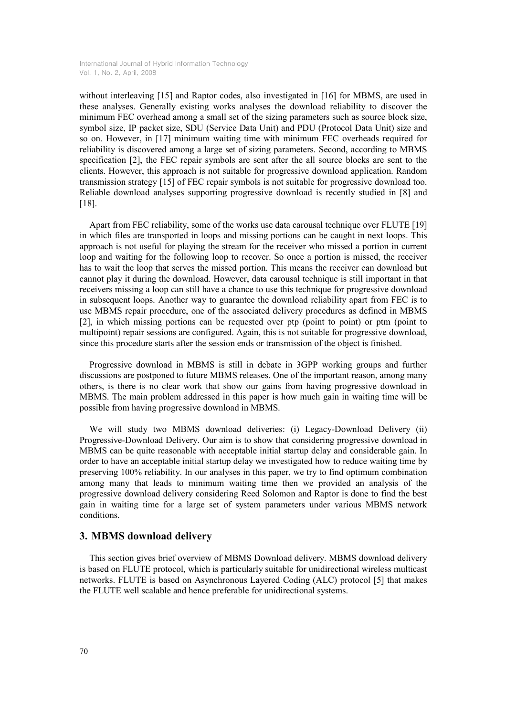without interleaving [15] and Raptor codes, also investigated in [16] for MBMS, are used in these analyses. Generally existing works analyses the download reliability to discover the minimum FEC overhead among a small set of the sizing parameters such as source block size, symbol size, IP packet size, SDU (Service Data Unit) and PDU (Protocol Data Unit) size and so on. However, in [17] minimum waiting time with minimum FEC overheads required for reliability is discovered among a large set of sizing parameters. Second, according to MBMS specification [2], the FEC repair symbols are sent after the all source blocks are sent to the clients. However, this approach is not suitable for progressive download application. Random transmission strategy [15] of FEC repair symbols is not suitable for progressive download too. Reliable download analyses supporting progressive download is recently studied in [8] and [18].

Apart from FEC reliability, some of the works use data carousal technique over FLUTE [19] in which files are transported in loops and missing portions can be caught in next loops. This approach is not useful for playing the stream for the receiver who missed a portion in current loop and waiting for the following loop to recover. So once a portion is missed, the receiver has to wait the loop that serves the missed portion. This means the receiver can download but cannot play it during the download. However, data carousal technique is still important in that receivers missing a loop can still have a chance to use this technique for progressive download in subsequent loops. Another way to guarantee the download reliability apart from FEC is to use MBMS repair procedure, one of the associated delivery procedures as defined in MBMS [2], in which missing portions can be requested over ptp (point to point) or ptm (point to multipoint) repair sessions are configured. Again, this is not suitable for progressive download, since this procedure starts after the session ends or transmission of the object is finished.

Progressive download in MBMS is still in debate in 3GPP working groups and further discussions are postponed to future MBMS releases. One of the important reason, among many others, is there is no clear work that show our gains from having progressive download in MBMS. The main problem addressed in this paper is how much gain in waiting time will be possible from having progressive download in MBMS.

We will study two MBMS download deliveries: (i) Legacy-Download Delivery (ii) Progressive-Download Delivery. Our aim is to show that considering progressive download in MBMS can be quite reasonable with acceptable initial startup delay and considerable gain. In order to have an acceptable initial startup delay we investigated how to reduce waiting time by preserving 100% reliability. In our analyses in this paper, we try to find optimum combination among many that leads to minimum waiting time then we provided an analysis of the progressive download delivery considering Reed Solomon and Raptor is done to find the best gain in waiting time for a large set of system parameters under various MBMS network conditions.

## 3. MBMS download delivery

This section gives brief overview of MBMS Download delivery. MBMS download delivery is based on FLUTE protocol, which is particularly suitable for unidirectional wireless multicast networks. FLUTE is based on Asynchronous Layered Coding (ALC) protocol [5] that makes the FLUTE well scalable and hence preferable for unidirectional systems.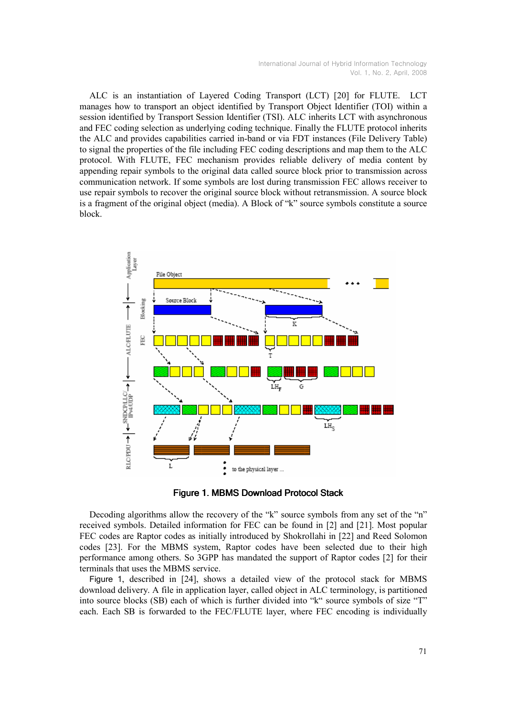ALC is an instantiation of Layered Coding Transport (LCT) [20] for FLUTE. LCT manages how to transport an object identified by Transport Object Identifier (TOI) within a session identified by Transport Session Identifier (TSI). ALC inherits LCT with asynchronous and FEC coding selection as underlying coding technique. Finally the FLUTE protocol inherits the ALC and provides capabilities carried in-band or via FDT instances (File Delivery Table) to signal the properties of the file including FEC coding descriptions and map them to the ALC protocol. With FLUTE, FEC mechanism provides reliable delivery of media content by appending repair symbols to the original data called source block prior to transmission across communication network. If some symbols are lost during transmission FEC allows receiver to use repair symbols to recover the original source block without retransmission. A source block is a fragment of the original object (media). A Block of "k" source symbols constitute a source block.



Figure 1. MBMS Download Protocol Stack

Decoding algorithms allow the recovery of the "k" source symbols from any set of the "n" received symbols. Detailed information for FEC can be found in [2] and [21]. Most popular FEC codes are Raptor codes as initially introduced by Shokrollahi in [22] and Reed Solomon codes [23]. For the MBMS system, Raptor codes have been selected due to their high performance among others. So 3GPP has mandated the support of Raptor codes [2] for their terminals that uses the MBMS service.

Figure 1, described in [24], shows a detailed view of the protocol stack for MBMS download delivery. A file in application layer, called object in ALC terminology, is partitioned into source blocks (SB) each of which is further divided into "k" source symbols of size "T" each. Each SB is forwarded to the FEC/FLUTE layer, where FEC encoding is individually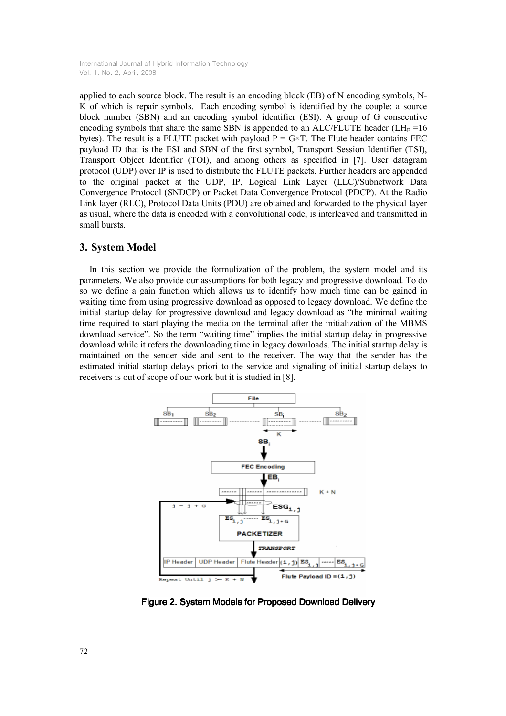applied to each source block. The result is an encoding block (EB) of N encoding symbols, N-K of which is repair symbols. Each encoding symbol is identified by the couple: a source block number (SBN) and an encoding symbol identifier (ESI). A group of G consecutive encoding symbols that share the same SBN is appended to an ALC/FLUTE header (LH<sub>F</sub> =16 bytes). The result is a FLUTE packet with payload  $P = G \times T$ . The Flute header contains FEC payload ID that is the ESI and SBN of the first symbol, Transport Session Identifier (TSI), Transport Object Identifier (TOI), and among others as specified in [7]. User datagram protocol (UDP) over IP is used to distribute the FLUTE packets. Further headers are appended to the original packet at the UDP, IP, Logical Link Layer (LLC)/Subnetwork Data Convergence Protocol (SNDCP) or Packet Data Convergence Protocol (PDCP). At the Radio Link layer (RLC), Protocol Data Units (PDU) are obtained and forwarded to the physical layer as usual, where the data is encoded with a convolutional code, is interleaved and transmitted in small bursts.

## 3. System Model

In this section we provide the formulization of the problem, the system model and its parameters. We also provide our assumptions for both legacy and progressive download. To do so we define a gain function which allows us to identify how much time can be gained in waiting time from using progressive download as opposed to legacy download. We define the initial startup delay for progressive download and legacy download as "the minimal waiting time required to start playing the media on the terminal after the initialization of the MBMS download service". So the term "waiting time" implies the initial startup delay in progressive download while it refers the downloading time in legacy downloads. The initial startup delay is maintained on the sender side and sent to the receiver. The way that the sender has the estimated initial startup delays priori to the service and signaling of initial startup delays to receivers is out of scope of our work but it is studied in [8].



Figure 2. System Models for Proposed Download Delivery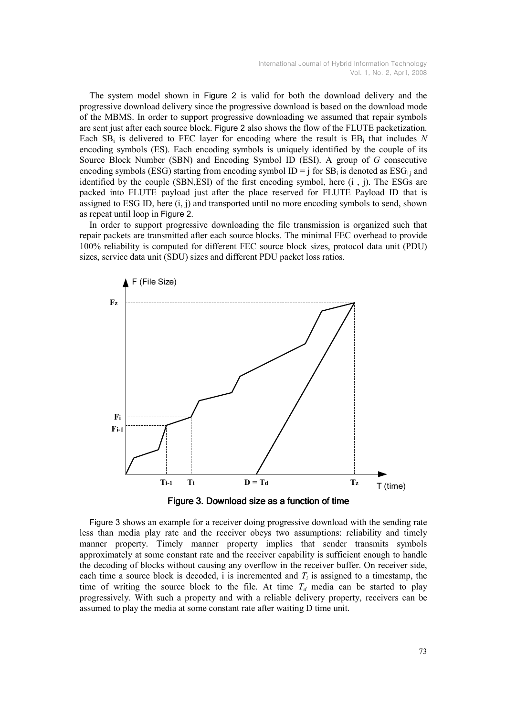The system model shown in Figure 2 is valid for both the download delivery and the progressive download delivery since the progressive download is based on the download mode of the MBMS. In order to support progressive downloading we assumed that repair symbols are sent just after each source block. Figure 2 also shows the flow of the FLUTE packetization. Each  $SB_i$  is delivered to FEC layer for encoding where the result is  $EB_i$  that includes N encoding symbols (ES). Each encoding symbols is uniquely identified by the couple of its Source Block Number (SBN) and Encoding Symbol ID (ESI). A group of G consecutive encoding symbols (ESG) starting from encoding symbol  $ID = j$  for  $SB_i$  is denoted as  $ESG_{i,j}$  and identified by the couple (SBN,ESI) of the first encoding symbol, here (i , j). The ESGs are packed into FLUTE payload just after the place reserved for FLUTE Payload ID that is assigned to ESG ID, here (i, j) and transported until no more encoding symbols to send, shown as repeat until loop in Figure 2.

In order to support progressive downloading the file transmission is organized such that repair packets are transmitted after each source blocks. The minimal FEC overhead to provide 100% reliability is computed for different FEC source block sizes, protocol data unit (PDU) sizes, service data unit (SDU) sizes and different PDU packet loss ratios.





Figure 3 shows an example for a receiver doing progressive download with the sending rate less than media play rate and the receiver obeys two assumptions: reliability and timely manner property. Timely manner property implies that sender transmits symbols approximately at some constant rate and the receiver capability is sufficient enough to handle the decoding of blocks without causing any overflow in the receiver buffer. On receiver side, each time a source block is decoded, i is incremented and  $T_i$  is assigned to a timestamp, the time of writing the source block to the file. At time  $T<sub>d</sub>$  media can be started to play progressively. With such a property and with a reliable delivery property, receivers can be assumed to play the media at some constant rate after waiting D time unit.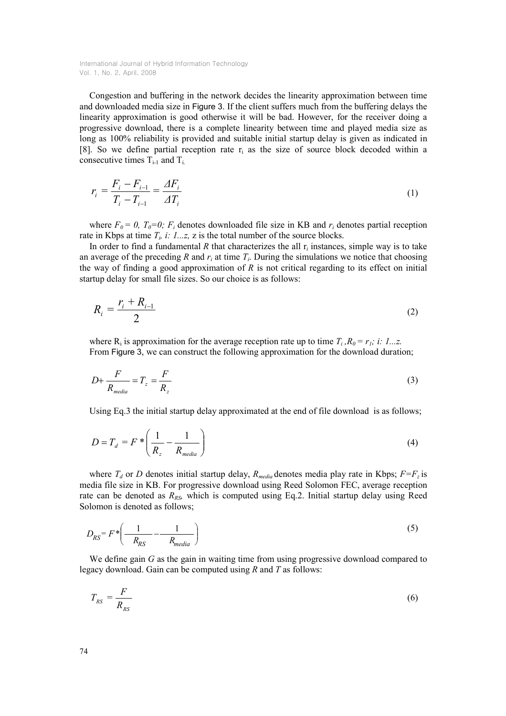Congestion and buffering in the network decides the linearity approximation between time and downloaded media size in Figure 3. If the client suffers much from the buffering delays the linearity approximation is good otherwise it will be bad. However, for the receiver doing a progressive download, there is a complete linearity between time and played media size as long as 100% reliability is provided and suitable initial startup delay is given as indicated in [8]. So we define partial reception rate  $r_i$  as the size of source block decoded within a consecutive times  $T_{i-1}$  and  $T_i$ .

$$
r_i = \frac{F_i - F_{i-1}}{T_i - T_{i-1}} = \frac{\Delta F_i}{\Delta T_i}
$$
\n(1)

where  $F_0 = 0$ ,  $T_0 = 0$ ;  $F_i$  denotes downloaded file size in KB and  $r_i$  denotes partial reception rate in Kbps at time  $T_i$ , *i*: *l*...*z*, *z* is the total number of the source blocks.

In order to find a fundamental R that characterizes the all  $r_i$  instances, simple way is to take an average of the preceding R and  $r_i$  at time  $T_i$ . During the simulations we notice that choosing the way of finding a good approximation of  $R$  is not critical regarding to its effect on initial startup delay for small file sizes. So our choice is as follows:

$$
R_i = \frac{r_i + R_{i-1}}{2} \tag{2}
$$

where  $R_i$  is approximation for the average reception rate up to time  $T_i$ ,  $R_0 = r_i$ ; i: 1...z. From Figure 3, we can construct the following approximation for the download duration;

$$
D + \frac{F}{R_{median}} = T_z = \frac{F}{R_z}
$$
\n(3)

Using Eq.3 the initial startup delay approximated at the end of file download is as follows;

$$
D = T_d = F \cdot \left(\frac{1}{R_z} - \frac{1}{R_{\text{median}}}\right) \tag{4}
$$

where  $T_d$  or D denotes initial startup delay,  $R_{\text{median}}$  denotes media play rate in Kbps;  $F = F_z$  is media file size in KB. For progressive download using Reed Solomon FEC, average reception rate can be denoted as  $R_{RS}$ , which is computed using Eq.2. Initial startup delay using Reed Solomon is denoted as follows;

$$
D_{RS} = F \ast \left( \frac{1}{R_{RS}} - \frac{1}{R_{median}} \right) \tag{5}
$$

We define gain  $G$  as the gain in waiting time from using progressive download compared to legacy download. Gain can be computed using  $R$  and  $T$  as follows:

$$
T_{RS} = \frac{F}{R_{RS}}\tag{6}
$$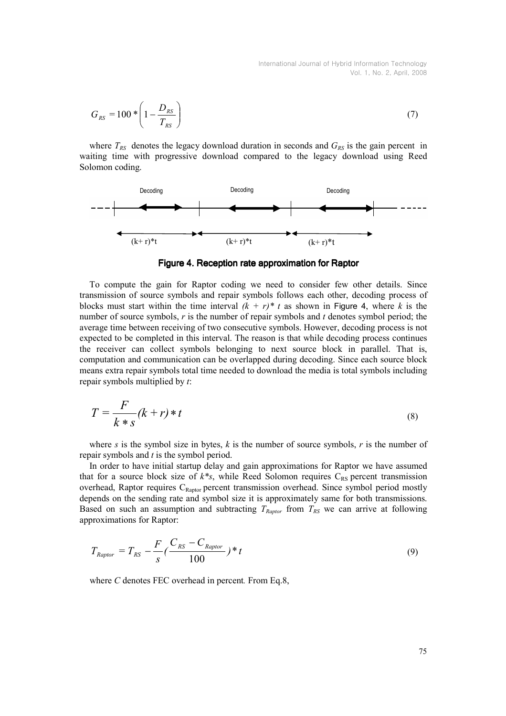$$
G_{RS} = 100 * \left(1 - \frac{D_{RS}}{T_{RS}}\right)
$$
 (7)

where  $T_{RS}$  denotes the legacy download duration in seconds and  $G_{RS}$  is the gain percent in waiting time with progressive download compared to the legacy download using Reed Solomon coding.



Figure 4. Reception rate approximation for Raptor

To compute the gain for Raptor coding we need to consider few other details. Since transmission of source symbols and repair symbols follows each other, decoding process of blocks must start within the time interval  $(k + r)^*$  t as shown in Figure 4, where k is the number of source symbols,  $r$  is the number of repair symbols and  $t$  denotes symbol period; the average time between receiving of two consecutive symbols. However, decoding process is not expected to be completed in this interval. The reason is that while decoding process continues the receiver can collect symbols belonging to next source block in parallel. That is, computation and communication can be overlapped during decoding. Since each source block means extra repair symbols total time needed to download the media is total symbols including repair symbols multiplied by  $t$ :

$$
T = \frac{F}{k * s}(k + r) * t
$$
\n<sup>(8)</sup>

where s is the symbol size in bytes, k is the number of source symbols, r is the number of repair symbols and t is the symbol period.

In order to have initial startup delay and gain approximations for Raptor we have assumed that for a source block size of  $k$ <sup>\*</sup>s, while Reed Solomon requires  $C_{RS}$  percent transmission overhead, Raptor requires  $C_{\text{Rantor}}$  percent transmission overhead. Since symbol period mostly depends on the sending rate and symbol size it is approximately same for both transmissions. Based on such an assumption and subtracting  $T_{Raptor}$  from  $T_{RS}$  we can arrive at following approximations for Raptor:

$$
T_{\text{Raptor}} = T_{\text{RS}} - \frac{F}{s} \left( \frac{C_{\text{RS}} - C_{\text{Raptor}}}{100} \right) * t \tag{9}
$$

where C denotes FEC overhead in percent. From Eq.8,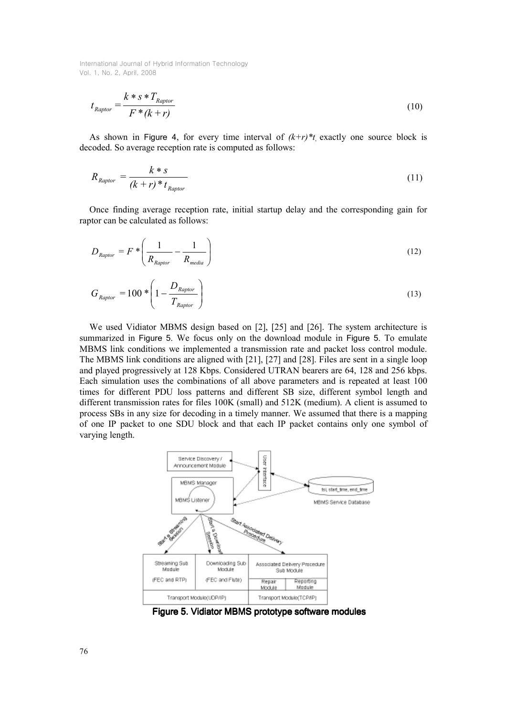$$
t_{\text{Raptor}} = \frac{k \cdot s \cdot T_{\text{Raptor}}}{F \cdot (k+r)}
$$
(10)

As shown in Figure 4, for every time interval of  $(k+r)*t$  exactly one source block is decoded. So average reception rate is computed as follows:

$$
R_{\text{Raptor}} = \frac{k * s}{(k + r) * t_{\text{Raptor}}}
$$
\n(11)

Once finding average reception rate, initial startup delay and the corresponding gain for raptor can be calculated as follows:

$$
D_{\text{Raptor}} = F \ast \left( \frac{1}{R_{\text{Raptor}}} - \frac{1}{R_{\text{median}}} \right) \tag{12}
$$

$$
G_{\text{Raptor}} = 100 * \left(1 - \frac{D_{\text{Raptor}}}{T_{\text{Raptor}}}\right)
$$
\n(13)

We used Vidiator MBMS design based on [2], [25] and [26]. The system architecture is summarized in Figure 5. We focus only on the download module in Figure 5. To emulate MBMS link conditions we implemented a transmission rate and packet loss control module. The MBMS link conditions are aligned with [21], [27] and [28]. Files are sent in a single loop and played progressively at 128 Kbps. Considered UTRAN bearers are 64, 128 and 256 kbps. Each simulation uses the combinations of all above parameters and is repeated at least 100 times for different PDU loss patterns and different SB size, different symbol length and different transmission rates for files 100K (small) and 512K (medium). A client is assumed to process SBs in any size for decoding in a timely manner. We assumed that there is a mapping of one IP packet to one SDU block and that each IP packet contains only one symbol of varying length.



Figure 5. Vidiator MBMS prototype software modules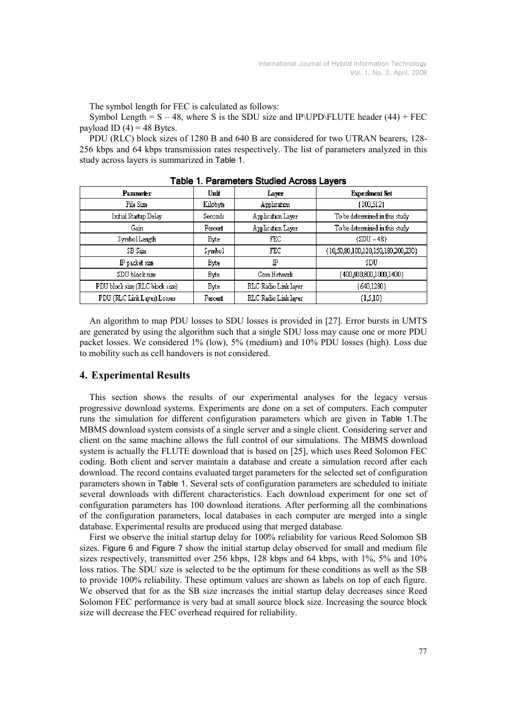The symbol length for FEC is calculated as follows:

Symbol Length  $= S - 48$ , where S is the SDU size and IP\UPD\FLUTE header (44) + FEC payload ID  $(4) = 48$  Bytes.

PDU (RLC) block sizes of 1280 B and 640 B are considered for two UTRAN bearers, 128- 256 kbps and 64 kbps transmission rates respectively. The list of parameters analyzed in this study across layers is summarized in Table 1.

| Parameter                       | Unit        | Layer                    | <b>Experiment Set</b>              |  |  |  |  |  |  |
|---------------------------------|-------------|--------------------------|------------------------------------|--|--|--|--|--|--|
| File Size                       | Kilobyte    | Application              | ${100,512}$                        |  |  |  |  |  |  |
| Initial Startup Delay           | Seconds     | <b>Application Layer</b> | To be determined in this study     |  |  |  |  |  |  |
| Gain                            | Percent     | <b>Application Layer</b> | To be determined in this study     |  |  |  |  |  |  |
| SymbolLength                    | FEC<br>Byte |                          | $SDU - 48$                         |  |  |  |  |  |  |
| SB Size                         | Symbol      | FEC                      | {10,50,80,100,120,150,180,200,230} |  |  |  |  |  |  |
| IP packet size                  | Byte        | Ъ                        | SDU                                |  |  |  |  |  |  |
| SDU block size                  | Byte        | Core Network             | (400,600,800,1000,1400)            |  |  |  |  |  |  |
| PDU block size (RLC block size) | Byte        | RLC Radio Link layer     | ${640,1280}$                       |  |  |  |  |  |  |
| PDU (RLC Link Layer) Losses     | Percent     | RLC Radio Link layer     | $\{1,5,10\}$                       |  |  |  |  |  |  |

Table 1. Parameters Studied Across Layers

An algorithm to map PDU losses to SDU losses is provided in [27]. Error bursts in UMTS are generated by using the algorithm such that a single SDU loss may cause one or more PDU packet losses. We considered 1% (low), 5% (medium) and 10% PDU losses (high). Loss due to mobility such as cell handovers is not considered.

#### 4. Experimental Results

This section shows the results of our experimental analyses for the legacy versus progressive download systems. Experiments are done on a set of computers. Each computer runs the simulation for different configuration parameters which are given in Table 1.The MBMS download system consists of a single server and a single client. Considering server and client on the same machine allows the full control of our simulations. The MBMS download system is actually the FLUTE download that is based on [25], which uses Reed Solomon FEC coding. Both client and server maintain a database and create a simulation record after each download. The record contains evaluated target parameters for the selected set of configuration parameters shown in Table 1. Several sets of configuration parameters are scheduled to initiate several downloads with different characteristics. Each download experiment for one set of configuration parameters has 100 download iterations. After performing all the combinations of the configuration parameters, local databases in each computer are merged into a single database. Experimental results are produced using that merged database.

First we observe the initial startup delay for 100% reliability for various Reed Solomon SB sizes. Figure 6 and Figure 7 show the initial startup delay observed for small and medium file sizes respectively, transmitted over 256 kbps, 128 kbps and 64 kbps, with 1%, 5% and 10% loss ratios. The SDU size is selected to be the optimum for these conditions as well as the SB to provide 100% reliability. These optimum values are shown as labels on top of each figure. We observed that for as the SB size increases the initial startup delay decreases since Reed Solomon FEC performance is very bad at small source block size. Increasing the source block size will decrease the FEC overhead required for reliability.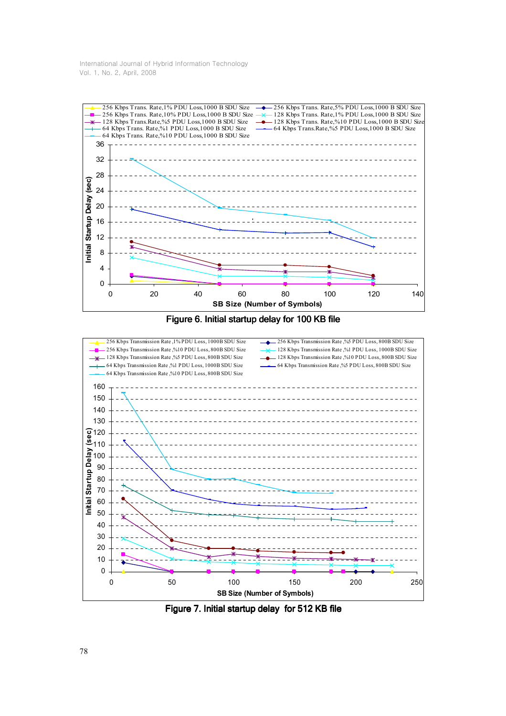





Figure 7. Initial startup delay for 512 KB file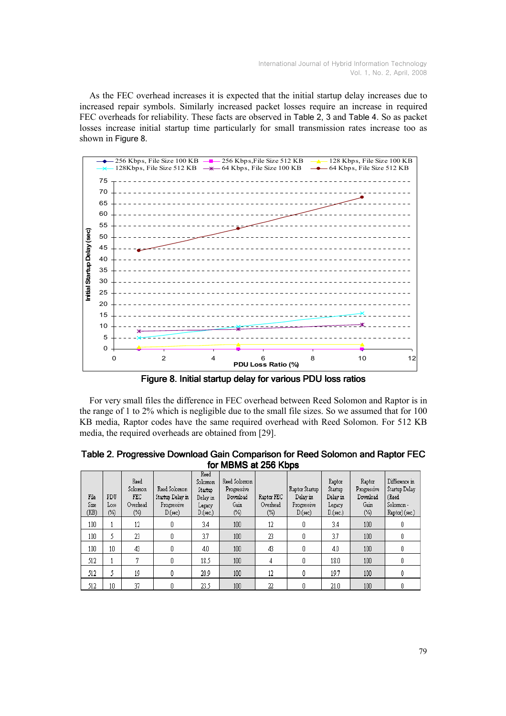As the FEC overhead increases it is expected that the initial startup delay increases due to increased repair symbols. Similarly increased packet losses require an increase in required FEC overheads for reliability. These facts are observed in Table 2, 3 and Table 4. So as packet losses increase initial startup time particularly for small transmission rates increase too as shown in Figure 8.



Figure 8. Initial startup delay for various PDU loss ratios

For very small files the difference in FEC overhead between Reed Solomon and Raptor is in the range of 1 to 2% which is negligible due to the small file sizes. So we assumed that for 100 KB media, Raptor codes have the same required overhead with Reed Solomon. For 512 KB media, the required overheads are obtained from [29].

|                      | TOT MIDIVID AT 200 NDDS   |                                              |                                                            |                                                              |                                                        |                               |                                                      |                                                     |                                                  |                                                                        |
|----------------------|---------------------------|----------------------------------------------|------------------------------------------------------------|--------------------------------------------------------------|--------------------------------------------------------|-------------------------------|------------------------------------------------------|-----------------------------------------------------|--------------------------------------------------|------------------------------------------------------------------------|
| File<br>Size<br>(KB) | <b>PDU</b><br>Loss<br>(%) | Reed<br>Solomon<br>FEC<br>Overhead<br>$(\%)$ | Reed Solomon<br>Startup Delay in<br>Progressive<br>D.(sec) | Reed<br>Solomon<br>Startup<br>Delay in<br>Legacy<br>D.(sec.) | Reed Solomon<br>Progressive<br>Download<br>Gain<br>(%) | Raptor FEC<br>Overhead<br>(%) | Raptor Startup<br>Delay in<br>Progressive<br>D.(sec) | Raptor<br>Startup<br>Delay in<br>Legacy<br>D.(sec.) | Raptor<br>Progressive<br>Download<br>Gain<br>(%) | Difference in<br>Startup Delay<br>(Reed)<br>Solomon-<br>Raptor) (sec.) |
| 100                  |                           | 12                                           | O                                                          | 3.4                                                          | 100                                                    | 12                            | ۵                                                    | 3.4                                                 | 100                                              | ۵                                                                      |
| 100                  |                           | 23                                           | 0                                                          | 3.7                                                          | 100                                                    | 23                            | 0                                                    | 3.7                                                 | 100                                              | 0                                                                      |
| 100                  | 10                        | 43                                           |                                                            | 4.0                                                          | 100                                                    | 43                            | Ō                                                    | 4.0                                                 | 100                                              | 0                                                                      |
| 512                  |                           | 7                                            | O                                                          | 18.5                                                         | 100                                                    | 4                             | Û                                                    | 18.0                                                | 100                                              | 0                                                                      |
| 512                  |                           | 19                                           | 0                                                          | 20.9                                                         | 100                                                    | 12                            | O                                                    | 19.7                                                | 100                                              | 0                                                                      |
| 512                  | 10                        | 37                                           |                                                            | 23.5                                                         | 100                                                    | 22                            |                                                      | 21.0                                                | 100                                              |                                                                        |

Table 2. Progressive Download Gain Comparison for Reed Solomon and Raptor FEC  $f_{\alpha\mu}$  MBMs  $\alpha$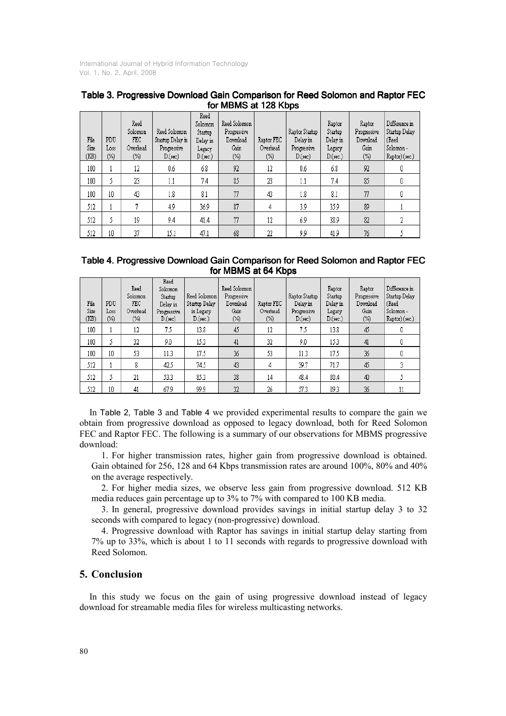| File<br>Size<br>(KB) | PDU<br>Loss<br>(%) | Reed<br>Solomon<br><b>FEC</b><br>Overhead<br>(%) | Reed Solomon<br>Startup Delay in<br>Progressive<br>D.(sec) | Reed<br>Solomon<br>Startup<br>Delay in<br>Legacy<br>D.(sec.) | Reed Solomon<br>Progressive<br>Download<br>Gain<br>(%) | Raptor FEC<br>Overhead<br>(%) | Raptor Startup<br>Delay in<br>Progressive<br>D (sec) | Raptor<br>Startup<br>Delay in<br>Legacy<br>D.(sec.) | Raptor<br>Progressive<br>Download<br>Gain<br>(%) | Difference in<br>Startup Delay<br>(Reed)<br>Solomon-<br>Raptor) (sec.) |
|----------------------|--------------------|--------------------------------------------------|------------------------------------------------------------|--------------------------------------------------------------|--------------------------------------------------------|-------------------------------|------------------------------------------------------|-----------------------------------------------------|--------------------------------------------------|------------------------------------------------------------------------|
| 100                  |                    | 12                                               | 0.6                                                        | 6.8                                                          | 92                                                     | 12                            | 0.6                                                  | 6.8                                                 | 92                                               | 0                                                                      |
| 100                  |                    | 23                                               | 1.1                                                        | 7.4                                                          | 85                                                     | 23                            | 1.1                                                  | 7.4                                                 | 85                                               | 0                                                                      |
| 100                  | 10                 | 43                                               | 1.8                                                        | 8.1                                                          | 77                                                     | 43                            | 1.8                                                  | 8.1                                                 | 77                                               |                                                                        |
| 512                  |                    |                                                  | 4.9                                                        | 36.9                                                         | 87                                                     | 4                             | 3.9                                                  | 35.9                                                | 89                                               |                                                                        |
| 512                  |                    | 19                                               | 9.4                                                        | 41.4                                                         | 77                                                     | 12                            | 6.9                                                  | 38.9                                                | 82                                               |                                                                        |
| 512                  | 10                 | 37                                               | 15.1                                                       | 47.1                                                         | 68                                                     | 22                            | 99                                                   | 41.9                                                | 76                                               |                                                                        |

#### Table 3. Progressive Download Gain Comparison for Reed Solomon and Raptor FEC for MBMS at 128 Kbps

| Table 4. Progressive Download Gain Comparison for Reed Solomon and Raptor FEC |  |
|-------------------------------------------------------------------------------|--|
| for MBMS at 64 Kbps                                                           |  |

| File<br>Size<br>(KB) | PDU<br>Loss<br>(%) | Reed<br>Solomon<br>FEC<br>Overhead<br>(%) | Reed<br>Solomon<br>Startup<br>Delay in<br>Progressive<br>D.(sec) | Reed Solomon<br>Startup Delay<br>in Legacy<br>D.(sec.) | Reed Solomon<br>Progressive<br>Download<br>Gain<br>(%) | Raptor FEC<br>Overhead<br>(%) | Raptor Startup<br>Delay in<br>Progressive<br>D.(sec) | Raptor<br>Startup<br>Delay in<br>Legacy<br>D.(sec.) | Raptor<br>Progressive<br>Download<br>Gain<br>(%) | Difference in<br>Startup Delay<br>(Reed)<br>Solomon-<br>Raptor) (sec.) |
|----------------------|--------------------|-------------------------------------------|------------------------------------------------------------------|--------------------------------------------------------|--------------------------------------------------------|-------------------------------|------------------------------------------------------|-----------------------------------------------------|--------------------------------------------------|------------------------------------------------------------------------|
| 100                  |                    | 12                                        | 7.5                                                              | 13.8                                                   | 45                                                     | 12                            | 75                                                   | 13.8                                                | 45                                               | O                                                                      |
| 100                  |                    | 32                                        | 9.0                                                              | 15.3                                                   | 41                                                     | 32                            | 9.0                                                  | 15.3                                                | 41                                               | O                                                                      |
| 100                  | 10                 | 53                                        | 11.3                                                             | 17.5                                                   | 36                                                     | 53                            | 11.3                                                 | 17.5                                                | 36                                               | 0                                                                      |
| 512                  |                    | 8                                         | 42.5                                                             | 74.5                                                   | 43                                                     | 4                             | 39.7                                                 | 71.7                                                | 45                                               |                                                                        |
| 512                  |                    | 21                                        | 53.3                                                             | 85.3                                                   | 38                                                     | 14                            | 48.4                                                 | 80.4                                                | 40                                               |                                                                        |
| 512                  | 10                 | 41                                        | 67.9                                                             | 99.9                                                   | 32                                                     | 26                            | 57.3                                                 | 89.3                                                | 36                                               |                                                                        |

In Table 2, Table 3 and Table 4 we provided experimental results to compare the gain we obtain from progressive download as opposed to legacy download, both for Reed Solomon FEC and Raptor FEC. The following is a summary of our observations for MBMS progressive download:

1. For higher transmission rates, higher gain from progressive download is obtained. Gain obtained for 256, 128 and 64 Kbps transmission rates are around 100%, 80% and 40% on the average respectively.

2. For higher media sizes, we observe less gain from progressive download. 512 KB media reduces gain percentage up to 3% to 7% with compared to 100 KB media.

3. In general, progressive download provides savings in initial startup delay 3 to 32 seconds with compared to legacy (non-progressive) download.

4. Progressive download with Raptor has savings in initial startup delay starting from 7% up to 33%, which is about 1 to 11 seconds with regards to progressive download with Reed Solomon.

## 5. Conclusion

In this study we focus on the gain of using progressive download instead of legacy download for streamable media files for wireless multicasting networks.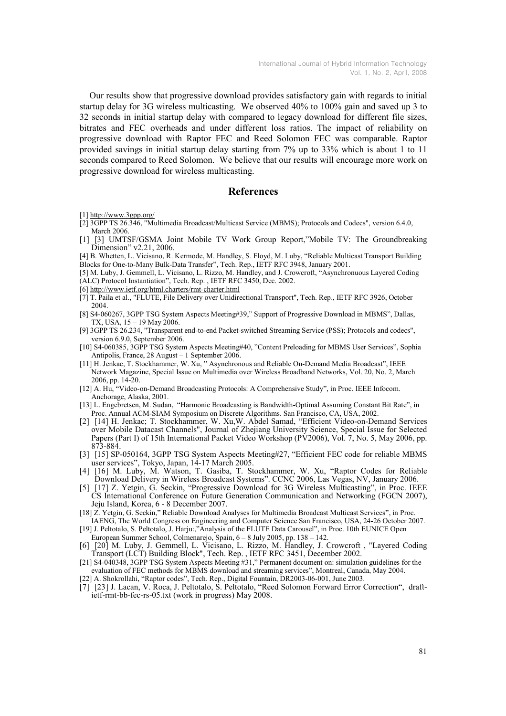Our results show that progressive download provides satisfactory gain with regards to initial startup delay for 3G wireless multicasting. We observed 40% to 100% gain and saved up 3 to 32 seconds in initial startup delay with compared to legacy download for different file sizes, bitrates and FEC overheads and under different loss ratios. The impact of reliability on progressive download with Raptor FEC and Reed Solomon FEC was comparable. Raptor provided savings in initial startup delay starting from 7% up to 33% which is about 1 to 11 seconds compared to Reed Solomon. We believe that our results will encourage more work on progressive download for wireless multicasting.

#### **References**

- [1] http://www.3gpp.org/
- [2] 3GPP TS 26.346, "Multimedia Broadcast/Multicast Service (MBMS); Protocols and Codecs", version 6.4.0, March 2006.
- [1] [3] UMTSF/GSMA Joint Mobile TV Work Group Report,"Mobile TV: The Groundbreaking Dimension" v2.21, 2006.
- [4] B. Whetten, L. Vicisano, R. Kermode, M. Handley, S. Floyd, M. Luby, "Reliable Multicast Transport Building Blocks for One-to-Many Bulk-Data Transfer", Tech. Rep., IETF RFC 3948, January 2001.
- [5] M. Luby, J. Gemmell, L. Vicisano, L. Rizzo, M. Handley, and J. Crowcroft, "Asynchronuous Layered Coding (ALC) Protocol Instantiation", Tech. Rep. , IETF RFC 3450, Dec. 2002.
- [6] http://www.ietf.org/html.charters/rmt-charter.html
- [7] T. Paila et al., "FLUTE, File Delivery over Unidirectional Transport", Tech. Rep., IETF RFC 3926, October 2004.
- [8] S4-060267, 3GPP TSG System Aspects Meeting#39," Support of Progressive Download in MBMS", Dallas, TX, USA, 15 – 19 May 2006.
- [9] 3GPP TS 26.234, "Transparent end-to-end Packet-switched Streaming Service (PSS); Protocols and codecs", version 6.9.0, September 2006.
- [10] S4-060385, 3GPP TSG System Aspects Meeting#40, "Content Preloading for MBMS User Services", Sophia Antipolis, France, 28 August – 1 September 2006.
- [11] H. Jenkac, T. Stockhammer, W. Xu, " Asynchronous and Reliable On-Demand Media Broadcast", IEEE Network Magazine, Special Issue on Multimedia over Wireless Broadband Networks, Vol. 20, No. 2, March 2006, pp. 14-20.
- [12] A. Hu, "Video-on-Demand Broadcasting Protocols: A Comprehensive Study", in Proc. IEEE Infocom. Anchorage, Alaska, 2001.
- [13] L. Engebretsen, M. Sudan, "Harmonic Broadcasting is Bandwidth-Optimal Assuming Constant Bit Rate", in Proc. Annual ACM-SIAM Symposium on Discrete Algorithms. San Francisco, CA, USA, 2002.
- [2] [14] H. Jenkac; T. Stockhammer, W. Xu,W. Abdel Samad, "Efficient Video-on-Demand Services over Mobile Datacast Channels", Journal of Zhejiang University Science, Special Issue for Selected Papers (Part I) of 15th International Packet Video Workshop (PV2006), Vol. 7, No. 5, May 2006, pp. 873-884.
- [3] [15] SP-050164, 3GPP TSG System Aspects Meeting#27, "Efficient FEC code for reliable MBMS user services", Tokyo, Japan, 14-17 March 2005.
- [4] [16] M. Luby, M. Watson, T. Gasiba, T. Stockhammer, W. Xu, "Raptor Codes for Reliable Download Delivery in Wireless Broadcast Systems". CCNC 2006, Las Vegas, NV, January 2006.
- [5] [17] Z. Yetgin, G. Seckin, "Progressive Download for 3G Wireless Multicasting", in Proc. IEEE CS International Conference on Future Generation Communication and Networking (FGCN 2007), Jeju Island, Korea, 6 - 8 December 2007.
- [18] Z. Yetgin, G. Seckin," Reliable Download Analyses for Multimedia Broadcast Multicast Services", in Proc. IAENG, The World Congress on Engineering and Computer Science San Francisco, USA, 24-26 October 2007.
- [19] J. Peltotalo, S. Peltotalo, J. Harju:,"Analysis of the FLUTE Data Carousel", in Proc. 10th EUNICE Open European Summer School, Colmenarejo, Spain, 6 – 8 July 2005, pp. 138 – 142.
- [6] [20] M. Luby, J. Gemmell, L. Vicisano, L. Rizzo, M. Handley, J. Crowcroft , "Layered Coding Transport (LCT) Building Block", Tech. Rep. , IETF RFC 3451, December 2002.
- [21] S4-040348, 3GPP TSG System Aspects Meeting #31," Permanent document on: simulation guidelines for the evaluation of FEC methods for MBMS download and streaming services", Montreal, Canada, May 2004.
- [22] A. Shokrollahi, "Raptor codes", Tech. Rep., Digital Fountain, DR2003-06-001, June 2003.
- [7] [23] J. Lacan, V. Roca, J. Peltotalo, S. Peltotalo, "Reed Solomon Forward Error Correction", draftietf-rmt-bb-fec-rs-05.txt (work in progress) May 2008.